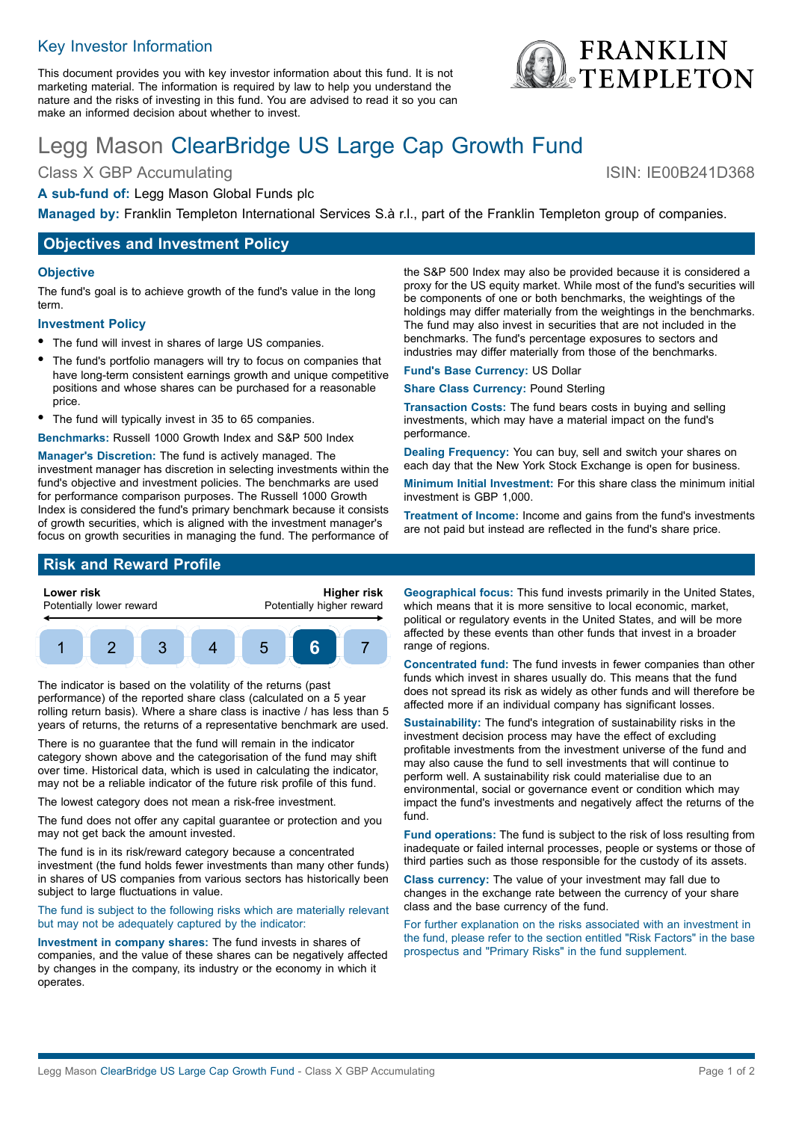## Key Investor Information

This document provides you with key investor information about this fund. It is not marketing material. The information is required by law to help you understand the nature and the risks of investing in this fund. You are advised to read it so you can make an informed decision about whether to invest.

# Legg Mason ClearBridge US Large Cap Growth Fund

Class X GBP Accumulating ISIN: IE00B241D368

#### **A sub-fund of:** Legg Mason Global Funds plc

**Managed by:** Franklin Templeton International Services S.à r.l., part of the Franklin Templeton group of companies.

## **Objectives and Investment Policy**

#### **Objective**

The fund's goal is to achieve growth of the fund's value in the long term.

#### **Investment Policy**

- The fund will invest in shares of large US companies.
- The fund's portfolio managers will try to focus on companies that have long-term consistent earnings growth and unique competitive positions and whose shares can be purchased for a reasonable price.
- The fund will typically invest in 35 to 65 companies.
- **Benchmarks:** Russell 1000 Growth Index and S&P 500 Index

**Manager's Discretion:** The fund is actively managed. The investment manager has discretion in selecting investments within the fund's objective and investment policies. The benchmarks are used for performance comparison purposes. The Russell 1000 Growth Index is considered the fund's primary benchmark because it consists of growth securities, which is aligned with the investment manager's focus on growth securities in managing the fund. The performance of the S&P 500 Index may also be provided because it is considered a proxy for the US equity market. While most of the fund's securities will be components of one or both benchmarks, the weightings of the holdings may differ materially from the weightings in the benchmarks. The fund may also invest in securities that are not included in the benchmarks. The fund's percentage exposures to sectors and industries may differ materially from those of the benchmarks.

**Fund's Base Currency:** US Dollar

**Share Class Currency:** Pound Sterling

**Transaction Costs:** The fund bears costs in buying and selling investments, which may have a material impact on the fund's performance.

**Dealing Frequency:** You can buy, sell and switch your shares on each day that the New York Stock Exchange is open for business.

**Minimum Initial Investment:** For this share class the minimum initial investment is GBP 1,000.

**Treatment of Income:** Income and gains from the fund's investments are not paid but instead are reflected in the fund's share price.

## **Risk and Reward Profile**



The indicator is based on the volatility of the returns (past performance) of the reported share class (calculated on a 5 year rolling return basis). Where a share class is inactive / has less than 5 years of returns, the returns of a representative benchmark are used.

There is no guarantee that the fund will remain in the indicator category shown above and the categorisation of the fund may shift over time. Historical data, which is used in calculating the indicator, may not be a reliable indicator of the future risk profile of this fund.

The lowest category does not mean a risk-free investment.

The fund does not offer any capital guarantee or protection and you may not get back the amount invested.

The fund is in its risk/reward category because a concentrated investment (the fund holds fewer investments than many other funds) in shares of US companies from various sectors has historically been subject to large fluctuations in value.

The fund is subject to the following risks which are materially relevant but may not be adequately captured by the indicator:

**Investment in company shares:** The fund invests in shares of companies, and the value of these shares can be negatively affected by changes in the company, its industry or the economy in which it operates.

**Geographical focus:** This fund invests primarily in the United States, which means that it is more sensitive to local economic, market, political or regulatory events in the United States, and will be more affected by these events than other funds that invest in a broader range of regions.

**Concentrated fund:** The fund invests in fewer companies than other funds which invest in shares usually do. This means that the fund does not spread its risk as widely as other funds and will therefore be affected more if an individual company has significant losses.

**Sustainability:** The fund's integration of sustainability risks in the investment decision process may have the effect of excluding profitable investments from the investment universe of the fund and may also cause the fund to sell investments that will continue to perform well. A sustainability risk could materialise due to an environmental, social or governance event or condition which may impact the fund's investments and negatively affect the returns of the fund.

**Fund operations:** The fund is subject to the risk of loss resulting from inadequate or failed internal processes, people or systems or those of third parties such as those responsible for the custody of its assets.

**Class currency:** The value of your investment may fall due to changes in the exchange rate between the currency of your share class and the base currency of the fund.

For further explanation on the risks associated with an investment in the fund, please refer to the section entitled "Risk Factors" in the base prospectus and "Primary Risks" in the fund supplement.